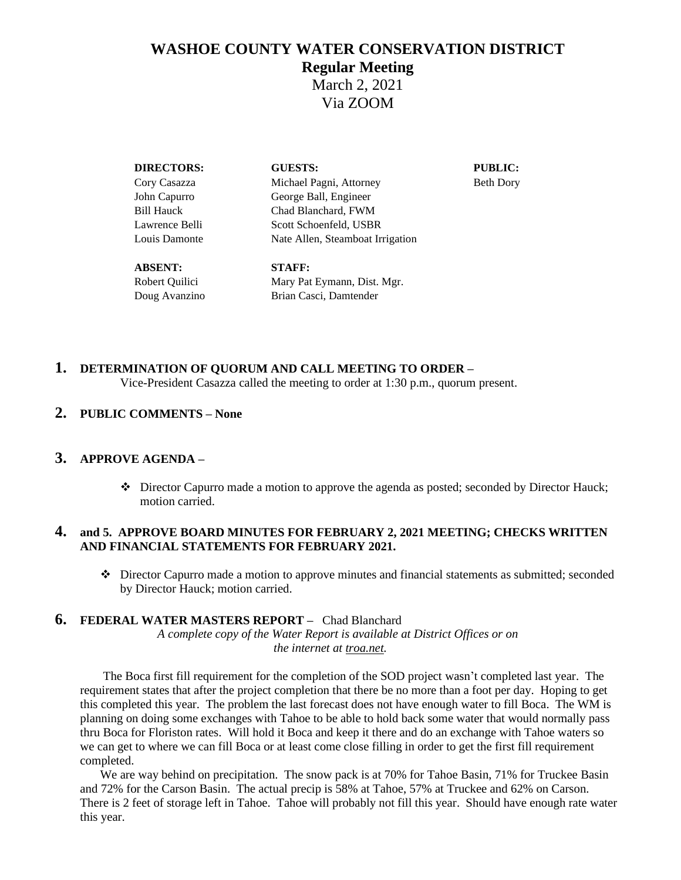# **WASHOE COUNTY WATER CONSERVATION DISTRICT Regular Meeting**

March 2, 2021 Via ZOOM

| <b>DIRECTORS:</b> | <b>GUESTS:</b>                   | <b>PUBLIC:</b>   |
|-------------------|----------------------------------|------------------|
| Cory Casazza      | Michael Pagni, Attorney          | <b>Beth Dory</b> |
| John Capurro      | George Ball, Engineer            |                  |
| <b>Bill Hauck</b> | Chad Blanchard, FWM              |                  |
| Lawrence Belli    | Scott Schoenfeld, USBR           |                  |
| Louis Damonte     | Nate Allen, Steamboat Irrigation |                  |
| <b>ABSENT:</b>    | <b>STAFF:</b>                    |                  |
| Robert Quilici    | Mary Pat Eymann, Dist. Mgr.      |                  |

# **1. DETERMINATION OF QUORUM AND CALL MEETING TO ORDER –**

Doug Avanzino Brian Casci, Damtender

Vice-President Casazza called the meeting to order at 1:30 p.m., quorum present.

### **2. PUBLIC COMMENTS – None**

### **3. APPROVE AGENDA –**

❖ Director Capurro made a motion to approve the agenda as posted; seconded by Director Hauck; motion carried.

#### **4. and 5. APPROVE BOARD MINUTES FOR FEBRUARY 2, 2021 MEETING; CHECKS WRITTEN AND FINANCIAL STATEMENTS FOR FEBRUARY 2021.**

❖ Director Capurro made a motion to approve minutes and financial statements as submitted; seconded by Director Hauck; motion carried.

# **6. FEDERAL WATER MASTERS REPORT –** Chad Blanchard

*A complete copy of the Water Report is available at District Offices or on the internet at troa.net.*

The Boca first fill requirement for the completion of the SOD project wasn't completed last year. The requirement states that after the project completion that there be no more than a foot per day. Hoping to get this completed this year. The problem the last forecast does not have enough water to fill Boca. The WM is planning on doing some exchanges with Tahoe to be able to hold back some water that would normally pass thru Boca for Floriston rates. Will hold it Boca and keep it there and do an exchange with Tahoe waters so we can get to where we can fill Boca or at least come close filling in order to get the first fill requirement completed.

We are way behind on precipitation. The snow pack is at 70% for Tahoe Basin, 71% for Truckee Basin and 72% for the Carson Basin. The actual precip is 58% at Tahoe, 57% at Truckee and 62% on Carson. There is 2 feet of storage left in Tahoe. Tahoe will probably not fill this year. Should have enough rate water this year.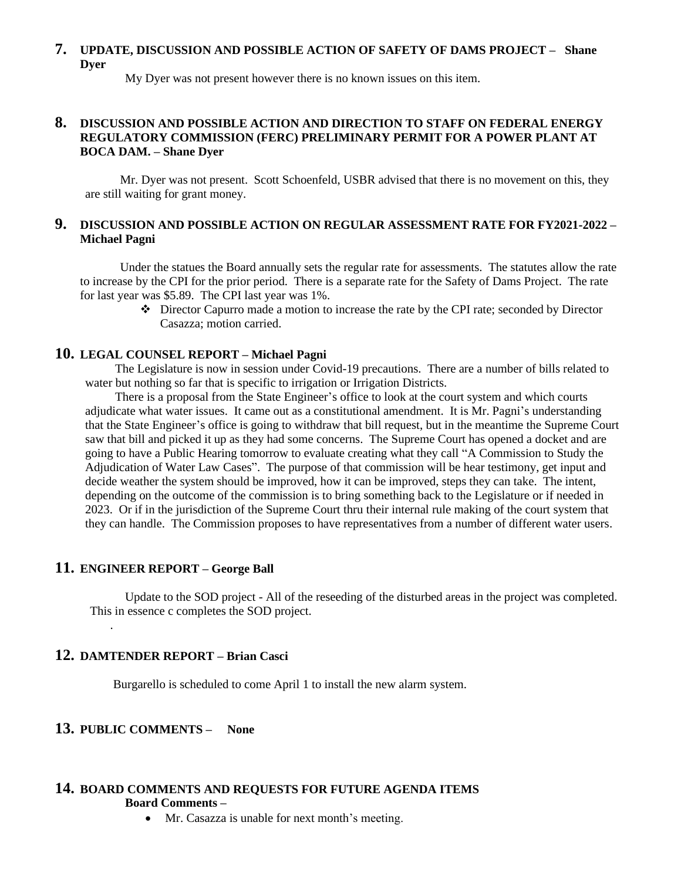# **7. UPDATE, DISCUSSION AND POSSIBLE ACTION OF SAFETY OF DAMS PROJECT – Shane Dyer**

My Dyer was not present however there is no known issues on this item.

### **8. DISCUSSION AND POSSIBLE ACTION AND DIRECTION TO STAFF ON FEDERAL ENERGY REGULATORY COMMISSION (FERC) PRELIMINARY PERMIT FOR A POWER PLANT AT BOCA DAM. – Shane Dyer**

Mr. Dyer was not present. Scott Schoenfeld, USBR advised that there is no movement on this, they are still waiting for grant money.

### **9. DISCUSSION AND POSSIBLE ACTION ON REGULAR ASSESSMENT RATE FOR FY2021-2022 – Michael Pagni**

Under the statues the Board annually sets the regular rate for assessments. The statutes allow the rate to increase by the CPI for the prior period. There is a separate rate for the Safety of Dams Project. The rate for last year was \$5.89. The CPI last year was 1%.

❖ Director Capurro made a motion to increase the rate by the CPI rate; seconded by Director Casazza; motion carried.

#### **10. LEGAL COUNSEL REPORT – Michael Pagni**

The Legislature is now in session under Covid-19 precautions. There are a number of bills related to water but nothing so far that is specific to irrigation or Irrigation Districts.

There is a proposal from the State Engineer's office to look at the court system and which courts adjudicate what water issues. It came out as a constitutional amendment. It is Mr. Pagni's understanding that the State Engineer's office is going to withdraw that bill request, but in the meantime the Supreme Court saw that bill and picked it up as they had some concerns. The Supreme Court has opened a docket and are going to have a Public Hearing tomorrow to evaluate creating what they call "A Commission to Study the Adjudication of Water Law Cases". The purpose of that commission will be hear testimony, get input and decide weather the system should be improved, how it can be improved, steps they can take. The intent, depending on the outcome of the commission is to bring something back to the Legislature or if needed in 2023. Or if in the jurisdiction of the Supreme Court thru their internal rule making of the court system that they can handle. The Commission proposes to have representatives from a number of different water users.

# **11. ENGINEER REPORT – George Ball**

.

Update to the SOD project - All of the reseeding of the disturbed areas in the project was completed. This in essence c completes the SOD project.

# **12. DAMTENDER REPORT – Brian Casci**

Burgarello is scheduled to come April 1 to install the new alarm system.

# **13. PUBLIC COMMENTS – None**

#### **14. BOARD COMMENTS AND REQUESTS FOR FUTURE AGENDA ITEMS Board Comments –**

• Mr. Casazza is unable for next month's meeting.